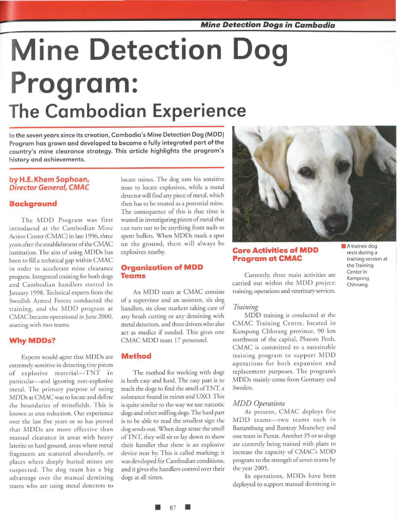# **Mine Detection Dog Program: The Cambodian Experience**

In the seven years since its creation, Cambodia's Mine Detection Dog (MOD) Program has grown and developed to become a fully integrated part of the country's mine clearance strategy. This article highlights the program's history and achievements.

### **by H.E. Khem Sophoan, Director General, CMAC**

### **Background**

The MDD Program was first inrroduced ar the Cambodian Mine Action Center (CMAC) in late 1996, three years after rhe establishment of the CMAC instirurion. The aim of using MODs has been to fill a technical gap within CMAC in order to accelerate mine clearance progress. lnregratcd training for both dogs and Cambodian handlers started in January 1998. Technical experrs from the Swedish Armed Forces conducted rhe training, and the MDD program at CMAC became operational in June 2000, starring with rwo reams.

### **WhyMDDs?**

Experts would agree that MDDs are extremely sensitive in detecting tiny pieces of explosive material-TNT in particular-and ignoring non-explosive metal. The primary purpose of using MODs at CMAC was ro locate and define rhe boundaries of minefields. This is known as area reduction. Our experience over the last five years or so has proved that MDDs are more effective than manual clearance in areas with heavy laterite or hard ground, areas where metal fragmenrs are scattered abundantly, or places where deeply buried mines are suspected. The dog ream has a big advantage over the manual demining teams who are using metal detectors to

locate mines. The dog uses his sensitive nose to locate explosives, while a metal detector will find any piece of metal. which rhen has to be treated as a porenrial mine. The consequence of this is rhar rime is wasted in investigating pieces of metal that can turn our to be anything from nails to spent bullets. When MDDs mark a spot on the ground, there will always be explosives nearby.

### **Organization of MDD Teams**

An MOD ream at CMAC consists of a supervisor and an assisranr, six dog handlers, six close markers raking care of any brush cutting or any demining with metal detectors, and three drivers who also act as medics if needed. This gives one CMAC MOD ream 17 personnel.

### **Method**

The method for working with dogs is both easy and hard. The easy part is to reach the dogs to find the smell ofTNT, a substance found in mines and UXO. This is quire similar to the way we use narcotic dogs and other sniffing dogs. The hard parr is to be able to read the smallest sign the dog sends out. When dogs sense the smell ofTNT, they will sit or lay down to show their handler rhar there is an explosive device near by. This is called marking; ir was developed for Cambodian conditions, and ir gives the handlers control over their dogs at all rimes.



### **Core Activities of MDD Program at CMAC**

Currently, three main activities are carried out within the MDD project: training, operations and veterinary services.

### *Training*

MOD training is conducted at the CMAC Training Centre, located in Kampong Chhnang province, 90 km norrhwesr of the capital, Phnom Penh. CMAC is committed to a sustainable training program to support MDD operations for both expansion and replacement purposes. The program's MODs mainly come from Germany and Sweden.

### *MDD Operations*

Ar present, CMAC deploys five MDD teams--- two teams each in Barrambang and Banreay Meanchey and one ream in Pursar. Another 35 or so dogs are currently being trained wirh plans ro increase the capacity of CMAC's MDD program to the strength of seven teams by rhe year 2005.

In operations, MODs have been deployed to support manual demining in • A trainee dog rests during a training session at the Training Center in Kampong Chhnang.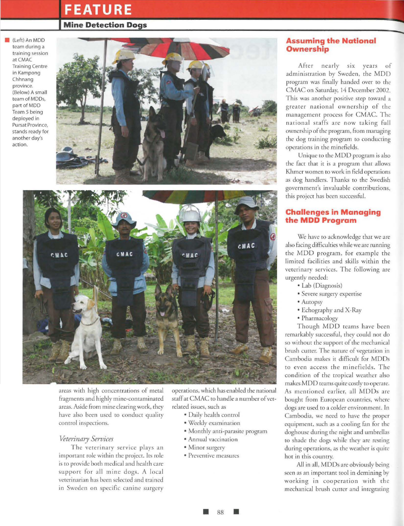### **FEATURE**

#### **Mine Detection Dogs**

• (Left) An MOD team during a training session at CMAC Training Centre in Kampong Chhnang province. (Below) A small team of MODs, part of MOD Team 5 being deployed in Pursat Province, stands ready for another day's action.





areas with high concentrations of meral fragments and highly mine-contaminated areas. Aside from mine clearing work, they have also been used to conduct qualiry control inspections.

### *Veterinary Services*

The veterinary service plays an important role within the projecr. Irs role is ro provide both medical and health care support for all mine dogs. A local vererinarian has been selected and trained in Sweden on specific canine surgery

operations, which has enabled the national sraffar CMAC ro handle a number of vetrelated issues, such as

- Daily health control
- Weekly examination
- Monthly ami-parasite program
- Annual vaccination
- Minor surgery
- Preventive measures

### **Assuming the National Ownership**

After nearly six years of administration by Sweden, rhe MDD program was finally handed over to the CMAC on Saturday, 14 December 2002. This was another positive step toward a greater national ownership of the management process for CMAC. The national staffs are now taking full ownership of the program, from managing the dog training program to conducting operations in rhe mineftelds.

Unique to the MOD program is also the fact char ir is a program that allows Khmer women ro work in field operarions as dog handlers. Thanks to the Swedish government's invaluable contributions, rhis project has been successful.

### **Challenges in Managing the MDD Program**

We have to acknowledge that we are also facing difficulties while we are running the MOD program, for example the limited facilities and skills within rhe veterinary services. The following are urgendy needed:

- Lab (Diagnosis)
- Severe surgery expertise
- Autopsy
- Echography and X-Ray
- Pharmacology

Though MDD teams have been remarkably successful, rhey could nor do so without the support of the mechanical brush cutter. The nature of vegetation in Cambodia makes it difficult for MODs to even access the minefields. The condition of the tropical weather also makes MDD reams quite cosdy to operate. As mentioned earlier, all MODs are bought from European countries, where dogs are used to a colder environment. In Cambodia, we need to have the proper equipmem, such as a cooling fan for the doghouse during the night and umbrellas ro shade rhe dogs while they are resting during operations, as rhe wearher is quire hot in this country.

*All* in all, MODs are obviously being seen as an important tool in demining by working in cooperation with the mechanical brush currer and integrating

• 88 •